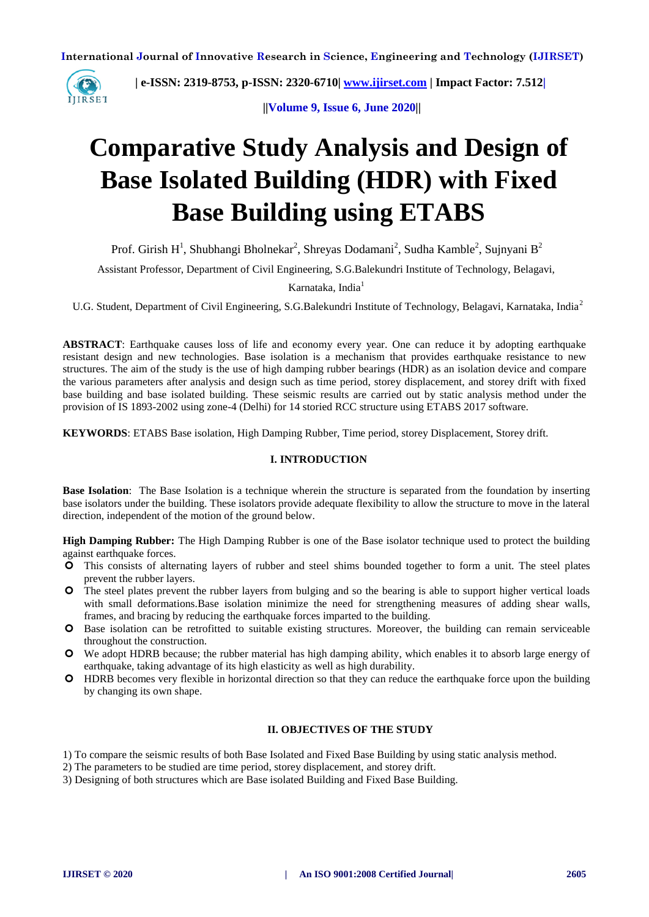

 **| e-ISSN: 2319-8753, p-ISSN: 2320-6710| [www.ijirset.com](http://www.ijirset.com/) | Impact Factor: 7.512|**

 **||Volume 9, Issue 6, June 2020||** 

# **Comparative Study Analysis and Design of Base Isolated Building (HDR) with Fixed Base Building using ETABS**

Prof. Girish H<sup>1</sup>, Shubhangi Bholnekar<sup>2</sup>, Shreyas Dodamani<sup>2</sup>, Sudha Kamble<sup>2</sup>, Sujnyani B<sup>2</sup>

Assistant Professor, Department of Civil Engineering, S.G.Balekundri Institute of Technology, Belagavi,

# Karnataka, India<sup>1</sup>

U.G. Student, Department of Civil Engineering, S.G.Balekundri Institute of Technology, Belagavi, Karnataka, India<sup>2</sup>

**ABSTRACT**: Earthquake causes loss of life and economy every year. One can reduce it by adopting earthquake resistant design and new technologies. Base isolation is a mechanism that provides earthquake resistance to new structures. The aim of the study is the use of high damping rubber bearings (HDR) as an isolation device and compare the various parameters after analysis and design such as time period, storey displacement, and storey drift with fixed base building and base isolated building. These seismic results are carried out by static analysis method under the provision of IS 1893-2002 using zone-4 (Delhi) for 14 storied RCC structure using ETABS 2017 software.

**KEYWORDS**: ETABS Base isolation, High Damping Rubber, Time period, storey Displacement, Storey drift.

# **I. INTRODUCTION**

**Base Isolation**: The Base Isolation is a technique wherein the structure is separated from the foundation by inserting base isolators under the building. These isolators provide adequate flexibility to allow the structure to move in the lateral direction, independent of the motion of the ground below.

**High Damping Rubber:** The High Damping Rubber is one of the Base isolator technique used to protect the building against earthquake forces.

- This consists of alternating layers of rubber and steel shims bounded together to form a unit. The steel plates prevent the rubber layers.
- The steel plates prevent the rubber layers from bulging and so the bearing is able to support higher vertical loads with small deformations.Base isolation minimize the need for strengthening measures of adding shear walls, frames, and bracing by reducing the earthquake forces imparted to the building.
- Base isolation can be retrofitted to suitable existing structures. Moreover, the building can remain serviceable throughout the construction.
- We adopt HDRB because; the rubber material has high damping ability, which enables it to absorb large energy of earthquake, taking advantage of its high elasticity as well as high durability.
- HDRB becomes very flexible in horizontal direction so that they can reduce the earthquake force upon the building by changing its own shape.

#### **II. OBJECTIVES OF THE STUDY**

- 1) To compare the seismic results of both Base Isolated and Fixed Base Building by using static analysis method.
- 2) The parameters to be studied are time period, storey displacement, and storey drift.
- 3) Designing of both structures which are Base isolated Building and Fixed Base Building.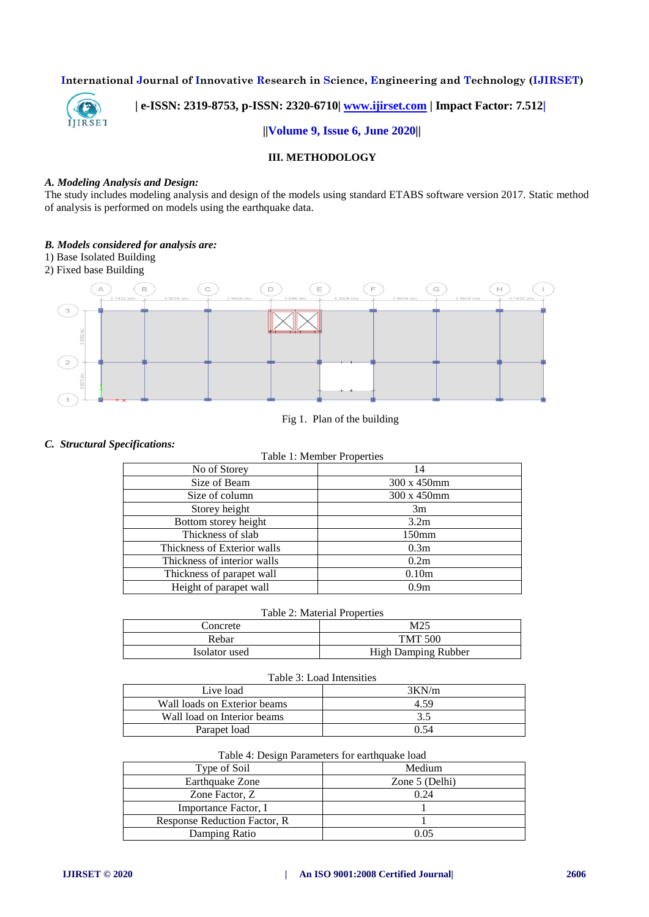

# **| e-ISSN: 2319-8753, p-ISSN: 2320-6710| [www.ijirset.com](http://www.ijirset.com/) | Impact Factor: 7.512|**

#### **||Volume 9, Issue 6, June 2020||**

# **III. METHODOLOGY**

#### *A. Modeling Analysis and Design:*

The study includes modeling analysis and design of the models using standard ETABS software version 2017. Static method of analysis is performed on models using the earthquake data.

#### *B. Models considered for analysis are:*

- 1) Base Isolated Building
- 2) Fixed base Building



# Fig 1. Plan of the building

# *C. Structural Specifications:*

| Table 1: Member Properties |  |
|----------------------------|--|
|----------------------------|--|

| No of Storey                | 14                |
|-----------------------------|-------------------|
| Size of Beam                | 300 x 450mm       |
| Size of column              | 300 x 450mm       |
| Storey height               | 3m                |
| Bottom storey height        | 3.2 <sub>m</sub>  |
| Thickness of slab           | 150 <sub>mm</sub> |
| Thickness of Exterior walls | 0.3 <sub>m</sub>  |
| Thickness of interior walls | 0.2m              |
| Thickness of parapet wall   | 0.10 <sub>m</sub> |
| Height of parapet wall      | 0.9 <sub>m</sub>  |

## Table 2: Material Properties

| Concrete      | M25                 |
|---------------|---------------------|
| Rebar         | <b>TMT 500</b>      |
| Isolator used | High Damping Rubber |

#### Table 3: Load Intensities

| Live load                    | 3KN/m |
|------------------------------|-------|
| Wall loads on Exterior beams | 4.59  |
| Wall load on Interior beams  | 3.5   |
| Parapet load                 | በ 54  |

#### Table 4: Design Parameters for earthquake load

| Type of Soil                  | Medium         |
|-------------------------------|----------------|
| Earthquake Zone               | Zone 5 (Delhi) |
| Zone Factor, Z                | 0.24           |
| Importance Factor, I          |                |
| Response Reduction Factor, R. |                |
| Damping Ratio                 | 2.05           |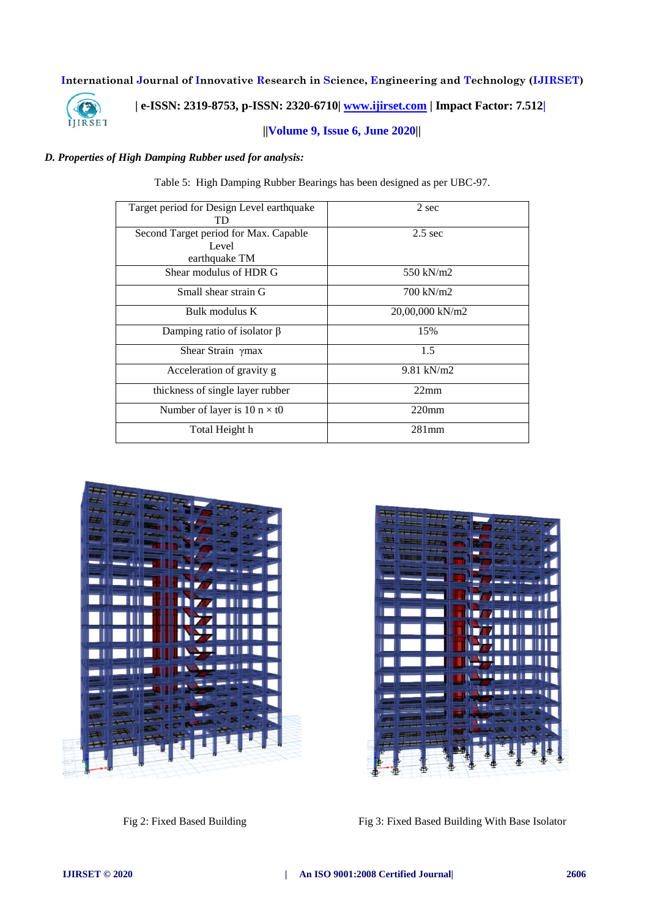

 **| e-ISSN: 2319-8753, p-ISSN: 2320-6710| [www.ijirset.com](http://www.ijirset.com/) | Impact Factor: 7.512|**

# **||Volume 9, Issue 6, June 2020||**

# *D. Properties of High Damping Rubber used for analysis:*

Table 5: High Damping Rubber Bearings has been designed as per UBC-97.

| Target period for Design Level earthquake<br>TD | 2 sec           |
|-------------------------------------------------|-----------------|
| Second Target period for Max. Capable<br>Level  | $2.5$ sec       |
| earthquake TM                                   |                 |
| Shear modulus of HDR G                          | 550 kN/m2       |
| Small shear strain G                            | 700 kN/m2       |
| Bulk modulus K                                  | 20,00,000 kN/m2 |
| Damping ratio of isolator $\beta$               | 15%             |
| Shear Strain ymax                               | 1.5             |
| Acceleration of gravity g                       | 9.81 kN/m2      |
| thickness of single layer rubber                | 22mm            |
| Number of layer is 10 $n \times t0$             | $220$ mm        |
| Total Height h                                  | $281$ mm        |





Fig 2: Fixed Based Building Fig 3: Fixed Based Building With Base Isolator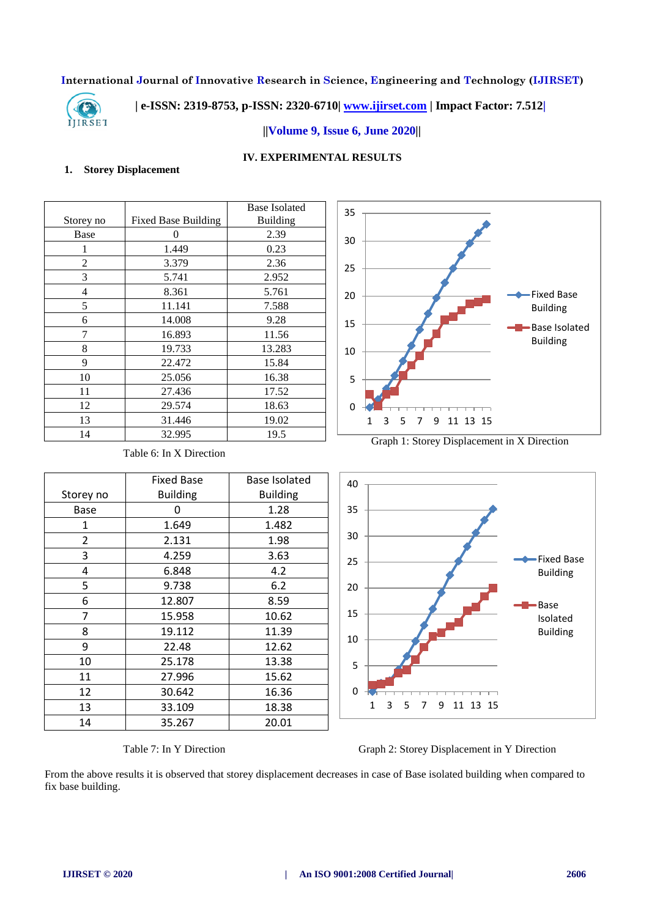

# **| e-ISSN: 2319-8753, p-ISSN: 2320-6710| [www.ijirset.com](http://www.ijirset.com/) | Impact Factor: 7.512|**

## **||Volume 9, Issue 6, June 2020||**

# **IV. EXPERIMENTAL RESULTS**

# **1. Storey Displacement**

|           |                            | <b>Base Isolated</b> |
|-----------|----------------------------|----------------------|
| Storey no | <b>Fixed Base Building</b> | <b>Building</b>      |
| Base      | 0                          | 2.39                 |
| 1         | 1.449                      | 0.23                 |
| 2         | 3.379                      | 2.36                 |
| 3         | 5.741                      | 2.952                |
| 4         | 8.361                      | 5.761                |
| 5         | 11.141                     | 7.588                |
| 6         | 14.008                     | 9.28                 |
| 7         | 16.893                     | 11.56                |
| 8         | 19.733                     | 13.283               |
| 9         | 22.472                     | 15.84                |
| 10        | 25.056                     | 16.38                |
| 11        | 27.436                     | 17.52                |
| 12        | 29.574                     | 18.63                |
| 13        | 31.446                     | 19.02                |
| 14        | 32.995                     | 19.5                 |

Table 6: In X Direction



Graph 1: Storey Displacement in X Direction





Table 7: In Y Direction Graph 2: Storey Displacement in Y Direction

From the above results it is observed that storey displacement decreases in case of Base isolated building when compared to fix base building.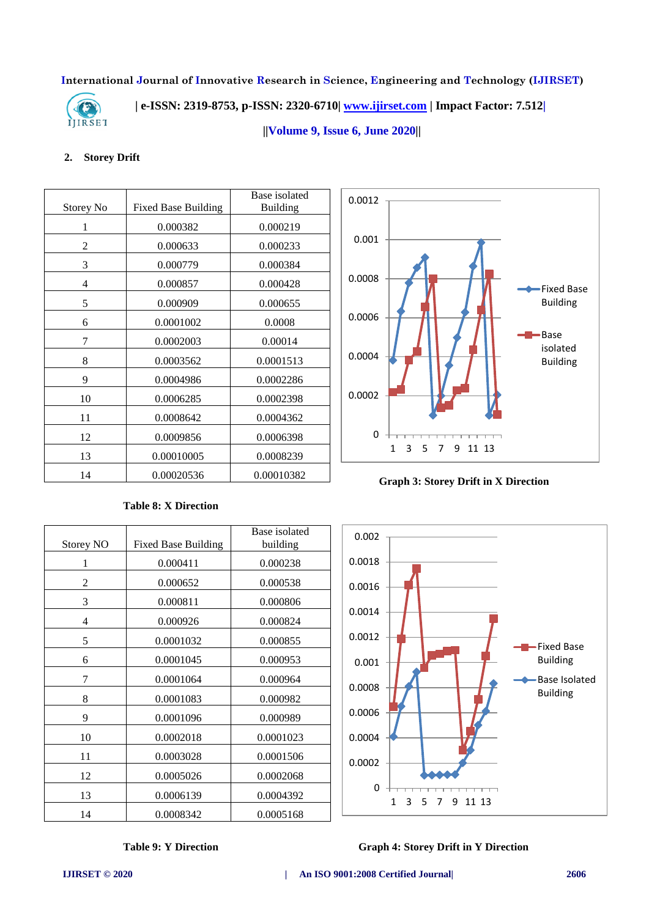

 **| e-ISSN: 2319-8753, p-ISSN: 2320-6710| [www.ijirset.com](http://www.ijirset.com/) | Impact Factor: 7.512|**

 **||Volume 9, Issue 6, June 2020||** 

# **2. Storey Drift**

|           |                            | Base isolated   |
|-----------|----------------------------|-----------------|
| Storey No | <b>Fixed Base Building</b> | <b>Building</b> |
| 1         | 0.000382                   | 0.000219        |
| 2         | 0.000633                   | 0.000233        |
| 3         | 0.000779                   | 0.000384        |
| 4         | 0.000857                   | 0.000428        |
| 5         | 0.000909                   | 0.000655        |
| 6         | 0.0001002                  | 0.0008          |
| 7         | 0.0002003                  | 0.00014         |
| 8         | 0.0003562                  | 0.0001513       |
| 9         | 0.0004986                  | 0.0002286       |
| 10        | 0.0006285                  | 0.0002398       |
| 11        | 0.0008642                  | 0.0004362       |
| 12        | 0.0009856                  | 0.0006398       |
| 13        | 0.00010005                 | 0.0008239       |
| 14        | 0.00020536                 | 0.00010382      |

**Table 8: X Direction**

Storey NO Fixed Base Building



**Graph 3: Storey Drift in X Direction**



# **Table 9: Y Direction Graph 4: Storey Drift in Y Direction**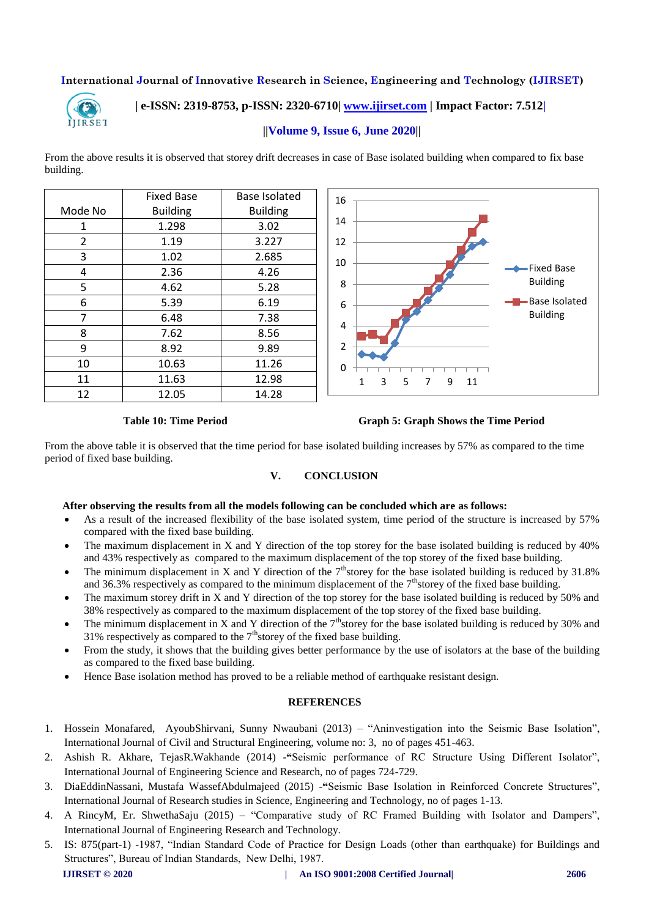

# **| e-ISSN: 2319-8753, p-ISSN: 2320-6710| [www.ijirset.com](http://www.ijirset.com/) | Impact Factor: 7.512|**

## **||Volume 9, Issue 6, June 2020||**

From the above results it is observed that storey drift decreases in case of Base isolated building when compared to fix base building.

|         | <b>Fixed Base</b> | Base Isolated   |
|---------|-------------------|-----------------|
| Mode No | <b>Building</b>   | <b>Building</b> |
| 1       | 1.298             | 3.02            |
| 2       | 1.19              | 3.227           |
| 3       | 1.02              | 2.685           |
| 4       | 2.36              | 4.26            |
| 5       | 4.62              | 5.28            |
| 6       | 5.39              | 6.19            |
| 7       | 6.48              | 7.38            |
| 8       | 7.62              | 8.56            |
| 9       | 8.92              | 9.89            |
| 10      | 10.63             | 11.26           |
| 11      | 11.63             | 12.98           |
| 12      | 12.05             | 14.28           |



#### **Table 10: Time Period Graph 5: Graph Shows the Time Period**

From the above table it is observed that the time period for base isolated building increases by 57% as compared to the time period of fixed base building.

# **V. CONCLUSION**

#### **After observing the results from all the models following can be concluded which are as follows:**

- As a result of the increased flexibility of the base isolated system, time period of the structure is increased by 57% compared with the fixed base building.
- The maximum displacement in X and Y direction of the top storey for the base isolated building is reduced by 40% and 43% respectively as compared to the maximum displacement of the top storey of the fixed base building.
- The minimum displacement in X and Y direction of the  $7<sup>th</sup>$ storey for the base isolated building is reduced by 31.8% and 36.3% respectively as compared to the minimum displacement of the  $7<sup>th</sup>$ storey of the fixed base building.
- The maximum storey drift in X and Y direction of the top storey for the base isolated building is reduced by 50% and 38% respectively as compared to the maximum displacement of the top storey of the fixed base building.
- The minimum displacement in X and Y direction of the  $7<sup>th</sup>$ storey for the base isolated building is reduced by 30% and 31% respectively as compared to the  $7<sup>th</sup>$ storey of the fixed base building.
- From the study, it shows that the building gives better performance by the use of isolators at the base of the building as compared to the fixed base building.
- Hence Base isolation method has proved to be a reliable method of earthquake resistant design.

#### **REFERENCES**

- 1. Hossein Monafared, AyoubShirvani, Sunny Nwaubani (2013) "Aninvestigation into the Seismic Base Isolation", International Journal of Civil and Structural Engineering, volume no: 3, no of pages 451-463.
- 2. Ashish R. Akhare, TejasR.Wakhande (2014) -**"**Seismic performance of RC Structure Using Different Isolator", International Journal of Engineering Science and Research, no of pages 724-729.
- 3. DiaEddinNassani, Mustafa WassefAbdulmajeed (2015) -**"**Seismic Base Isolation in Reinforced Concrete Structures", International Journal of Research studies in Science, Engineering and Technology, no of pages 1-13.
- 4. A RincyM, Er. ShwethaSaju (2015) "Comparative study of RC Framed Building with Isolator and Dampers", International Journal of Engineering Research and Technology.
- **IJIRSET © 2020 | An ISO 9001:2008 Certified Journal| 2606** 5. IS: 875(part-1) -1987, "Indian Standard Code of Practice for Design Loads (other than earthquake) for Buildings and Structures", Bureau of Indian Standards, New Delhi, 1987.